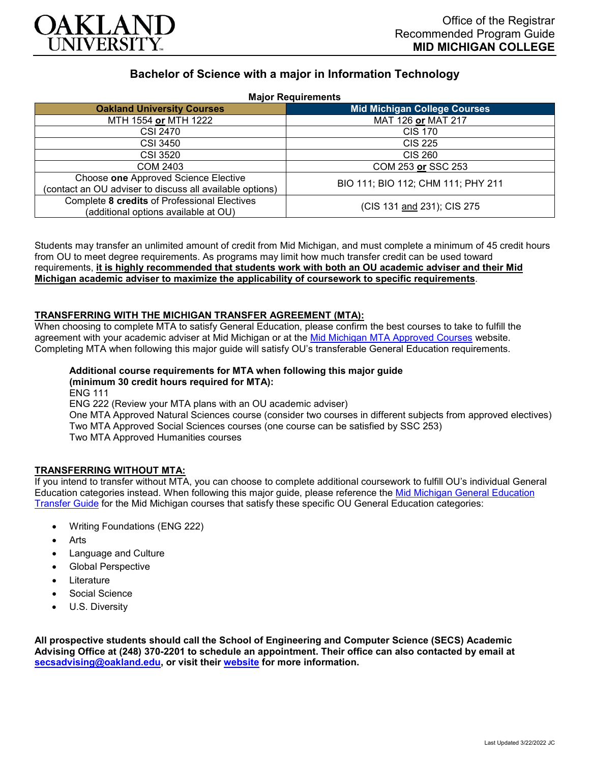

# **Bachelor of Science with a major in Information Technology**

**Major Requirements**

| <b>MADI RAMANALISTI</b>                                                                          |                                     |
|--------------------------------------------------------------------------------------------------|-------------------------------------|
| <b>Oakland University Courses</b>                                                                | <b>Mid Michigan College Courses</b> |
| MTH 1554 or MTH 1222                                                                             | MAT 126 or MAT 217                  |
| CSI 2470                                                                                         | <b>CIS 170</b>                      |
| CSI 3450                                                                                         | <b>CIS 225</b>                      |
| <b>CSI 3520</b>                                                                                  | <b>CIS 260</b>                      |
| <b>COM 2403</b>                                                                                  | COM 253 or SSC 253                  |
| Choose one Approved Science Elective<br>(contact an OU adviser to discuss all available options) | BIO 111; BIO 112; CHM 111; PHY 211  |
| Complete 8 credits of Professional Electives<br>(additional options available at OU)             | (CIS 131 and 231); CIS 275          |

Students may transfer an unlimited amount of credit from Mid Michigan, and must complete a minimum of 45 credit hours from OU to meet degree requirements. As programs may limit how much transfer credit can be used toward requirements, **it is highly recommended that students work with both an OU academic adviser and their Mid Michigan academic adviser to maximize the applicability of coursework to specific requirements**.

#### **TRANSFERRING WITH THE MICHIGAN TRANSFER AGREEMENT (MTA):**

When choosing to complete MTA to satisfy General Education, please confirm the best courses to take to fulfill the agreement with your academic adviser at Mid Michigan or at the [Mid Michigan MTA Approved Courses](https://www.midmich.edu/academics/transfer/mta) website. Completing MTA when following this major guide will satisfy OU's transferable General Education requirements.

## **Additional course requirements for MTA when following this major guide (minimum 30 credit hours required for MTA):**

ENG 111 ENG 222 (Review your MTA plans with an OU academic adviser) One MTA Approved Natural Sciences course (consider two courses in different subjects from approved electives) Two MTA Approved Social Sciences courses (one course can be satisfied by SSC 253) Two MTA Approved Humanities courses

### **TRANSFERRING WITHOUT MTA:**

If you intend to transfer without MTA, you can choose to complete additional coursework to fulfill OU's individual General Education categories instead. When following this major guide, please reference the [Mid Michigan General Education](https://www.oakland.edu/Assets/Oakland/program-guides/mid-michigan-community-college/university-general-education-requirements/Mid%20Michigan%20Gen%20Ed.pdf)  [Transfer Guide](https://www.oakland.edu/Assets/Oakland/program-guides/mid-michigan-community-college/university-general-education-requirements/Mid%20Michigan%20Gen%20Ed.pdf) for the Mid Michigan courses that satisfy these specific OU General Education categories:

- Writing Foundations (ENG 222)
- **Arts**
- Language and Culture
- Global Perspective
- **Literature**
- Social Science
- U.S. Diversity

**All prospective students should call the School of Engineering and Computer Science (SECS) Academic Advising Office at (248) 370-2201 to schedule an appointment. Their office can also contacted by email at [secsadvising@oakland.edu,](mailto:secsadvising@oakland.edu) or visit their [website](https://wwwp.oakland.edu/secs/advising/) for more information.**